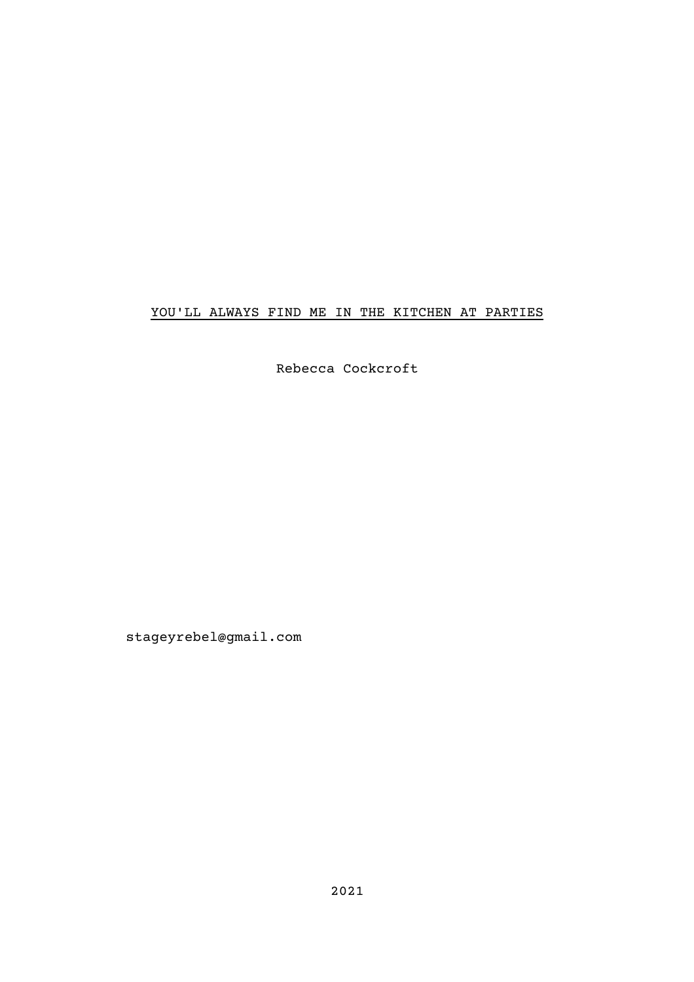## YOU'LL ALWAYS FIND ME IN THE KITCHEN AT PARTIES

Rebecca Cockcroft

stageyrebel@gmail.com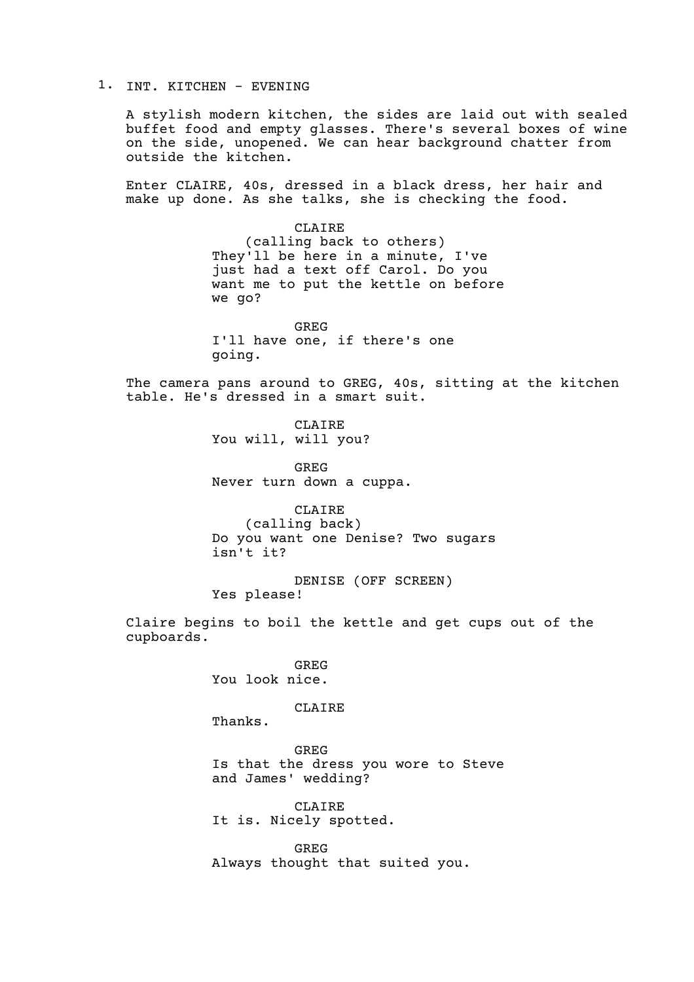1. INT. KITCHEN - EVENING

A stylish modern kitchen, the sides are laid out with sealed buffet food and empty glasses. There's several boxes of wine on the side, unopened. We can hear background chatter from outside the kitchen.

Enter CLAIRE, 40s, dressed in a black dress, her hair and make up done. As she talks, she is checking the food.

> CLAIRE (calling back to others) They'll be here in a minute, I've just had a text off Carol. Do you want me to put the kettle on before we go?

GREG I'll have one, if there's one going.

The camera pans around to GREG, 40s, sitting at the kitchen table. He's dressed in a smart suit.

> CLAIRE You will, will you?

GREG Never turn down a cuppa.

CLAIRE (calling back) Do you want one Denise? Two sugars isn't it?

DENISE (OFF SCREEN) Yes please!

Claire begins to boil the kettle and get cups out of the cupboards.

> GREG You look nice.

> > CLAIRE

Thanks.

GREG Is that the dress you wore to Steve and James' wedding?

CLAIRE It is. Nicely spotted.

GREG Always thought that suited you.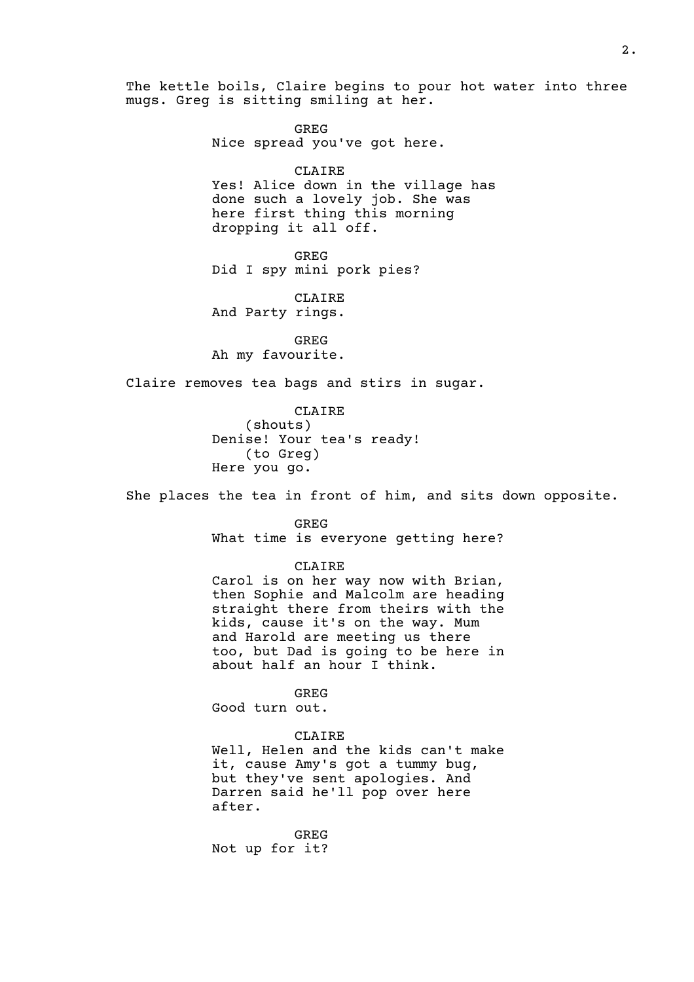The kettle boils, Claire begins to pour hot water into three mugs. Greg is sitting smiling at her.

> GREG Nice spread you've got here.

CLAIRE Yes! Alice down in the village has done such a lovely job. She was here first thing this morning dropping it all off.

GREG Did I spy mini pork pies?

CLAIRE And Party rings.

GREG Ah my favourite.

Claire removes tea bags and stirs in sugar.

CLAIRE (shouts) Denise! Your tea's ready! (to Greg) Here you go.

She places the tea in front of him, and sits down opposite.

GREG What time is everyone getting here?

CLAIRE

Carol is on her way now with Brian, then Sophie and Malcolm are heading straight there from theirs with the kids, cause it's on the way. Mum and Harold are meeting us there too, but Dad is going to be here in about half an hour I think.

GREG Good turn out.

## CLAIRE

Well, Helen and the kids can't make it, cause Amy's got a tummy bug, but they've sent apologies. And Darren said he'll pop over here after.

GREG Not up for it?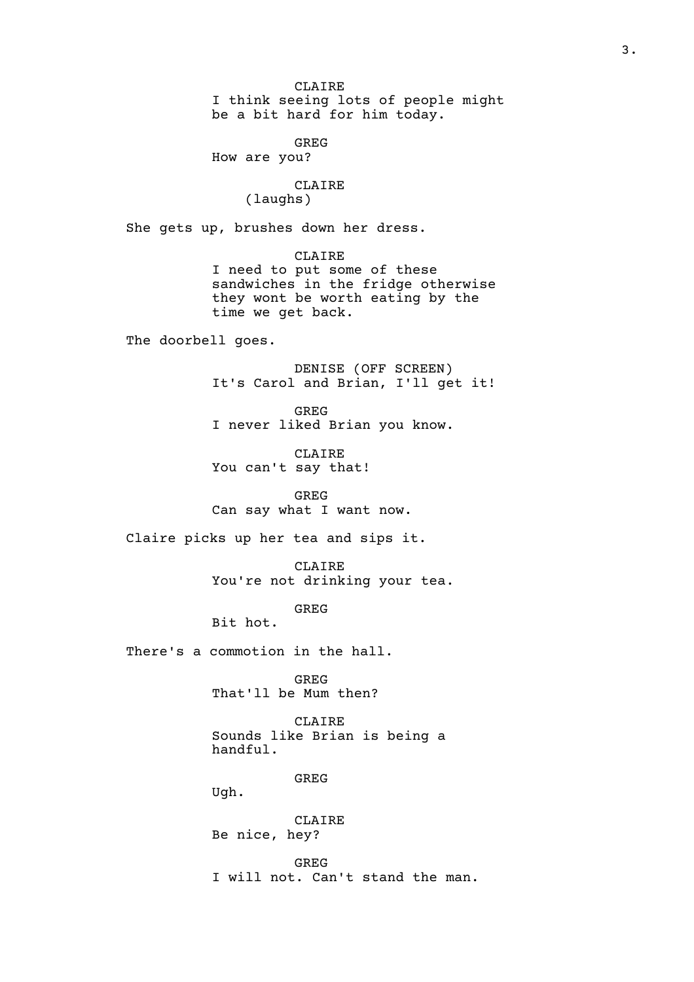CLAIRE I think seeing lots of people might be a bit hard for him today.

GREG How are you?

> CLAIRE (laughs)

She gets up, brushes down her dress.

CLAIRE I need to put some of these sandwiches in the fridge otherwise they wont be worth eating by the time we get back.

The doorbell goes.

DENISE (OFF SCREEN) It's Carol and Brian, I'll get it!

GREG I never liked Brian you know.

CLAIRE You can't say that!

GREG Can say what I want now.

Claire picks up her tea and sips it.

CLAIRE You're not drinking your tea.

GREG

Bit hot.

There's a commotion in the hall.

GREG That'll be Mum then?

CLAIRE Sounds like Brian is being a handful.

GREG

Ugh.

CLAIRE Be nice, hey?

GREG I will not. Can't stand the man.